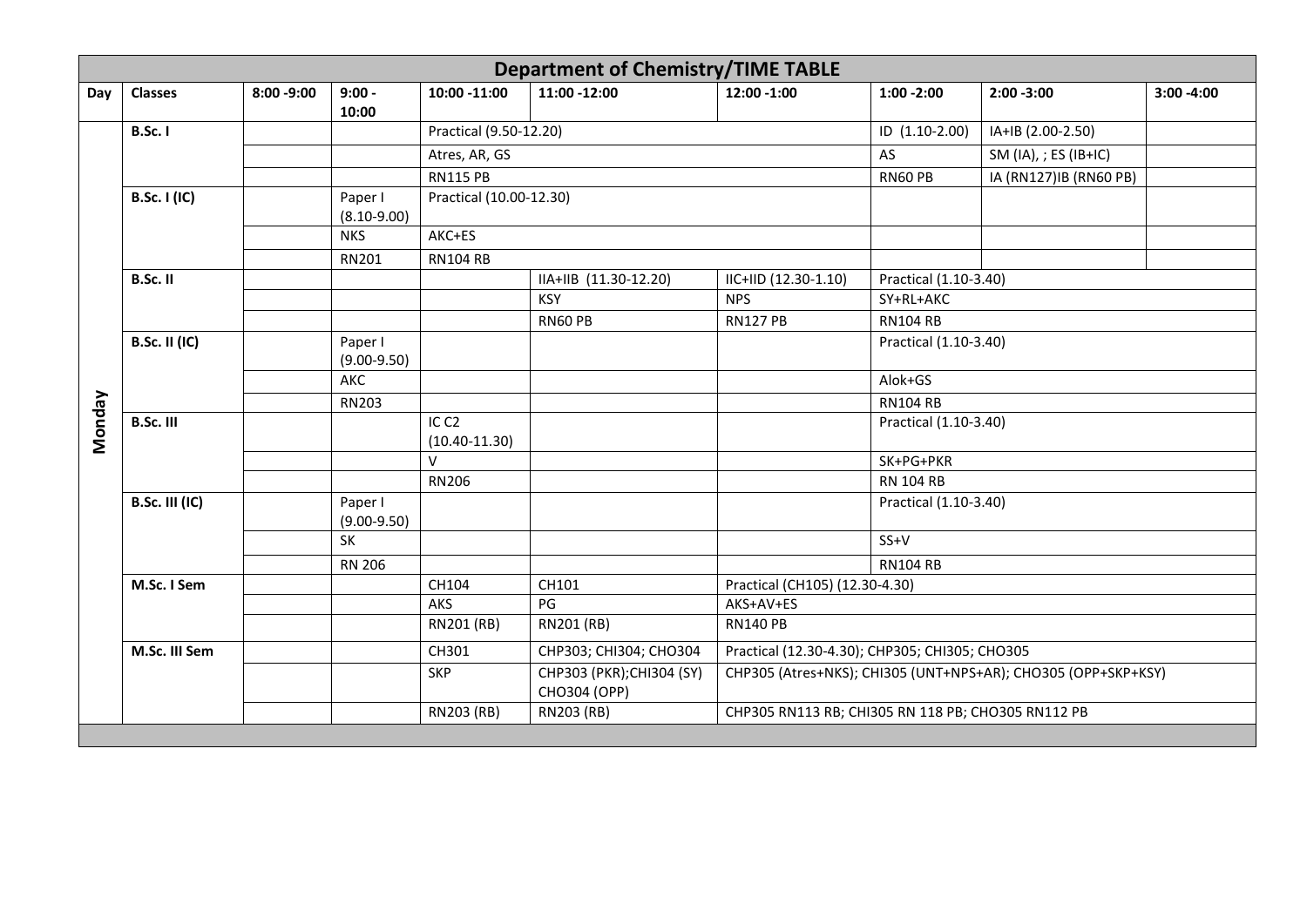|               | <b>Department of Chemistry/TIME TABLE</b> |               |                            |                                       |                                           |                                                    |                       |                                                               |               |  |  |  |
|---------------|-------------------------------------------|---------------|----------------------------|---------------------------------------|-------------------------------------------|----------------------------------------------------|-----------------------|---------------------------------------------------------------|---------------|--|--|--|
| Day           | <b>Classes</b>                            | $8:00 - 9:00$ | $9:00 -$<br>10:00          | 10:00 -11:00                          | 11:00 -12:00                              | 12:00 -1:00                                        | $1:00 - 2:00$         | $2:00 - 3:00$                                                 | $3:00 - 4:00$ |  |  |  |
|               | <b>B.Sc. I</b>                            |               |                            | Practical (9.50-12.20)                |                                           |                                                    | ID (1.10-2.00)        | IA+IB (2.00-2.50)                                             |               |  |  |  |
|               |                                           |               |                            | Atres, AR, GS                         |                                           |                                                    | AS                    | SM (IA), ; ES (IB+IC)                                         |               |  |  |  |
|               |                                           |               |                            | <b>RN115 PB</b>                       |                                           |                                                    | RN60 PB               | IA (RN127)IB (RN60 PB)                                        |               |  |  |  |
|               | <b>B.Sc. I (IC)</b>                       |               | Paper I<br>$(8.10 - 9.00)$ | Practical (10.00-12.30)               |                                           |                                                    |                       |                                                               |               |  |  |  |
|               |                                           |               | <b>NKS</b>                 | AKC+ES                                |                                           |                                                    |                       |                                                               |               |  |  |  |
|               |                                           |               | RN201                      | <b>RN104 RB</b>                       |                                           |                                                    |                       |                                                               |               |  |  |  |
|               | B.Sc. II                                  |               |                            |                                       | IIA+IIB (11.30-12.20)                     | IIC+IID (12.30-1.10)                               | Practical (1.10-3.40) |                                                               |               |  |  |  |
|               |                                           |               |                            |                                       | <b>KSY</b>                                | <b>NPS</b>                                         | SY+RL+AKC             |                                                               |               |  |  |  |
|               |                                           |               |                            |                                       | RN60 PB                                   | <b>RN127 PB</b>                                    | <b>RN104 RB</b>       |                                                               |               |  |  |  |
|               | <b>B.Sc. II (IC)</b>                      |               | Paper I<br>$(9.00-9.50)$   |                                       |                                           |                                                    | Practical (1.10-3.40) |                                                               |               |  |  |  |
|               |                                           |               | AKC                        |                                       |                                           |                                                    | Alok+GS               |                                                               |               |  |  |  |
|               |                                           |               | RN203                      |                                       |                                           |                                                    | <b>RN104 RB</b>       |                                                               |               |  |  |  |
| <b>Monday</b> | <b>B.Sc. III</b>                          |               |                            | IC <sub>C2</sub><br>$(10.40 - 11.30)$ |                                           |                                                    | Practical (1.10-3.40) |                                                               |               |  |  |  |
|               |                                           |               |                            | $\vee$                                |                                           |                                                    | SK+PG+PKR             |                                                               |               |  |  |  |
|               |                                           |               |                            | <b>RN206</b>                          |                                           |                                                    | <b>RN 104 RB</b>      |                                                               |               |  |  |  |
|               | <b>B.Sc. III (IC)</b>                     |               | Paper I<br>$(9.00 - 9.50)$ |                                       |                                           |                                                    | Practical (1.10-3.40) |                                                               |               |  |  |  |
|               |                                           |               | SK                         |                                       |                                           |                                                    | $SS+V$                |                                                               |               |  |  |  |
|               |                                           |               | <b>RN 206</b>              |                                       |                                           |                                                    | <b>RN104 RB</b>       |                                                               |               |  |  |  |
|               | M.Sc. I Sem                               |               |                            | CH104                                 | CH101                                     | Practical (CH105) (12.30-4.30)                     |                       |                                                               |               |  |  |  |
|               |                                           |               |                            | AKS                                   | PG                                        | AKS+AV+ES                                          |                       |                                                               |               |  |  |  |
|               |                                           |               |                            | RN201 (RB)                            | RN201 (RB)                                | <b>RN140 PB</b>                                    |                       |                                                               |               |  |  |  |
|               | M.Sc. III Sem                             |               |                            | CH301                                 | CHP303; CHI304; CHO304                    | Practical (12.30-4.30); CHP305; CHI305; CHO305     |                       |                                                               |               |  |  |  |
|               |                                           |               |                            | <b>SKP</b>                            | CHP303 (PKR); CHI304 (SY)<br>CHO304 (OPP) |                                                    |                       | CHP305 (Atres+NKS); CHI305 (UNT+NPS+AR); CHO305 (OPP+SKP+KSY) |               |  |  |  |
|               |                                           |               |                            | RN203 (RB)                            | RN203 (RB)                                | CHP305 RN113 RB; CHI305 RN 118 PB; CHO305 RN112 PB |                       |                                                               |               |  |  |  |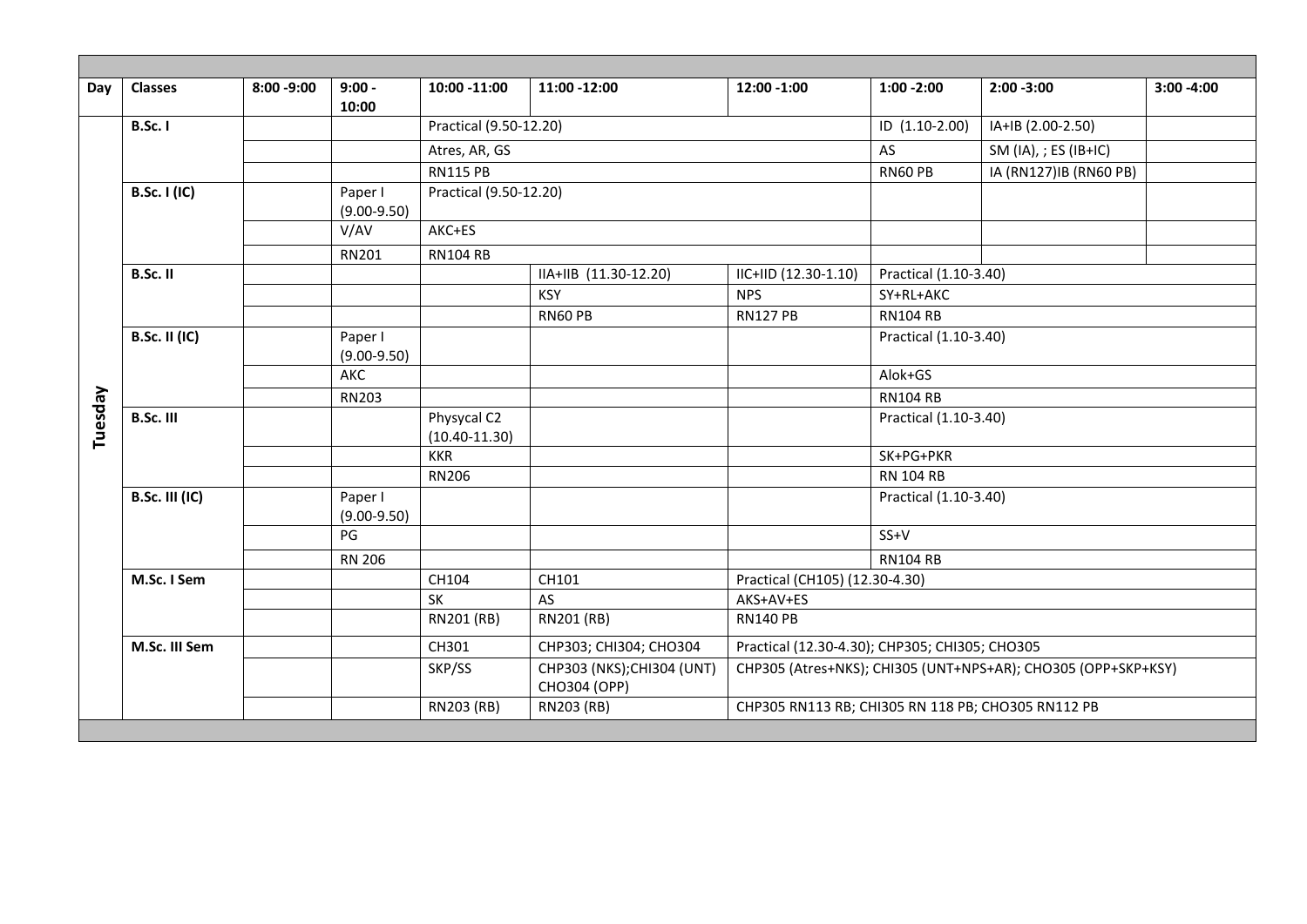| Day     | <b>Classes</b>        | $8:00 - 9:00$ | $9:00 -$<br>10:00          | 10:00 -11:00                     | 11:00 -12:00                               | 12:00 -1:00                                        | $1:00 - 2:00$                                  | $2:00 - 3:00$                                                 | $3:00 - 4:00$ |  |
|---------|-----------------------|---------------|----------------------------|----------------------------------|--------------------------------------------|----------------------------------------------------|------------------------------------------------|---------------------------------------------------------------|---------------|--|
|         | <b>B.Sc. I</b>        |               |                            | Practical (9.50-12.20)           |                                            |                                                    | ID (1.10-2.00)                                 | IA+IB (2.00-2.50)                                             |               |  |
|         |                       |               |                            | Atres, AR, GS                    |                                            |                                                    | AS                                             | SM (IA), ; ES (IB+IC)                                         |               |  |
|         |                       |               |                            | <b>RN115 PB</b>                  |                                            |                                                    | RN60 PB                                        | IA (RN127)IB (RN60 PB)                                        |               |  |
|         | <b>B.Sc. I (IC)</b>   |               | Paper I<br>$(9.00-9.50)$   | Practical (9.50-12.20)           |                                            |                                                    |                                                |                                                               |               |  |
|         |                       |               | V/AV                       | AKC+ES                           |                                            |                                                    |                                                |                                                               |               |  |
|         |                       |               | RN201                      | <b>RN104 RB</b>                  |                                            |                                                    |                                                |                                                               |               |  |
|         | B.Sc. II              |               |                            |                                  | IIA+IIB (11.30-12.20)                      | IIC+IID (12.30-1.10)                               | Practical (1.10-3.40)                          |                                                               |               |  |
|         |                       |               |                            |                                  | <b>KSY</b>                                 | <b>NPS</b>                                         | SY+RL+AKC                                      |                                                               |               |  |
|         |                       |               |                            |                                  | <b>RN60 PB</b>                             | <b>RN127 PB</b>                                    | <b>RN104 RB</b>                                |                                                               |               |  |
|         | <b>B.Sc. II (IC)</b>  |               | Paper I<br>$(9.00 - 9.50)$ |                                  |                                            |                                                    | Practical (1.10-3.40)                          |                                                               |               |  |
|         |                       |               | AKC                        |                                  |                                            |                                                    | Alok+GS                                        |                                                               |               |  |
|         |                       |               | <b>RN203</b>               |                                  |                                            |                                                    | <b>RN104 RB</b>                                |                                                               |               |  |
| Tuesday | <b>B.Sc. III</b>      |               |                            | Physycal C2<br>$(10.40 - 11.30)$ |                                            |                                                    | Practical (1.10-3.40)                          |                                                               |               |  |
|         |                       |               |                            | <b>KKR</b>                       |                                            |                                                    | SK+PG+PKR                                      |                                                               |               |  |
|         |                       |               |                            | <b>RN206</b>                     |                                            |                                                    | <b>RN 104 RB</b>                               |                                                               |               |  |
|         | <b>B.Sc. III (IC)</b> |               | Paper I<br>$(9.00 - 9.50)$ |                                  |                                            |                                                    | Practical (1.10-3.40)                          |                                                               |               |  |
|         |                       |               | PG                         |                                  |                                            |                                                    | $SS+V$                                         |                                                               |               |  |
|         |                       |               | <b>RN 206</b>              |                                  |                                            |                                                    | <b>RN104 RB</b>                                |                                                               |               |  |
|         | M.Sc. I Sem           |               |                            | CH104                            | CH101                                      |                                                    | Practical (CH105) (12.30-4.30)                 |                                                               |               |  |
|         |                       |               |                            | $\overline{\mathsf{SK}}$         | AS                                         | AKS+AV+ES                                          |                                                |                                                               |               |  |
|         |                       |               |                            | RN201 (RB)                       | RN201 (RB)                                 | <b>RN140 PB</b>                                    |                                                |                                                               |               |  |
|         | M.Sc. III Sem         |               |                            | CH301                            | CHP303; CHI304; CHO304                     |                                                    | Practical (12.30-4.30); CHP305; CHI305; CHO305 |                                                               |               |  |
|         |                       |               |                            | SKP/SS                           | CHP303 (NKS); CHI304 (UNT)<br>CHO304 (OPP) |                                                    |                                                | CHP305 (Atres+NKS); CHI305 (UNT+NPS+AR); CHO305 (OPP+SKP+KSY) |               |  |
|         |                       |               |                            | RN203 (RB)                       | RN203 (RB)                                 | CHP305 RN113 RB; CHI305 RN 118 PB; CHO305 RN112 PB |                                                |                                                               |               |  |
|         |                       |               |                            |                                  |                                            |                                                    |                                                |                                                               |               |  |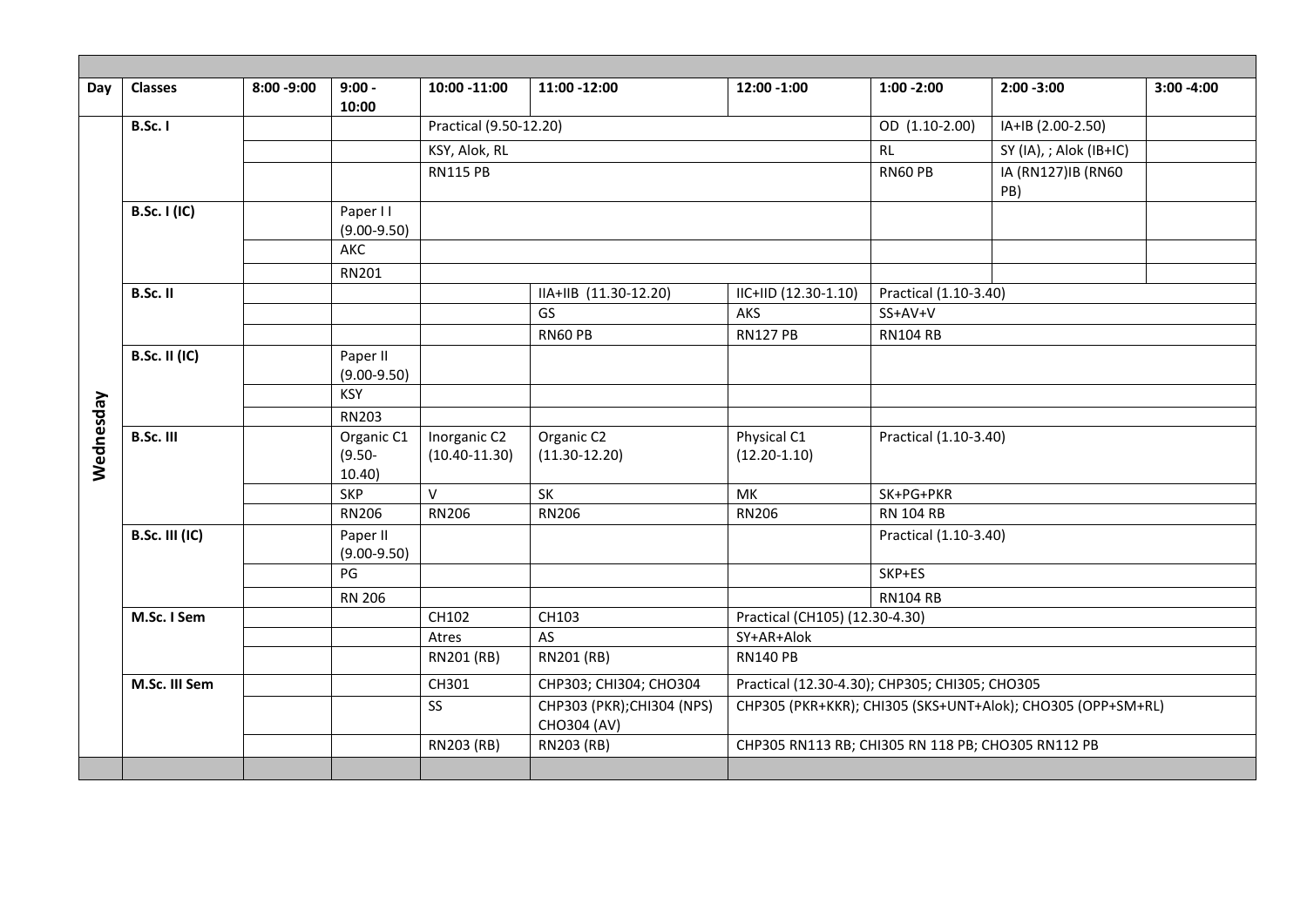| Day       | <b>Classes</b>        | $8:00 - 9:00$ | $9:00 -$<br>10:00                | 10:00 -11:00                      | 11:00 -12:00                              | 12:00 -1:00                                        | $1:00 - 2:00$                                  | $2:00 - 3:00$                                               | $3:00 - 4:00$ |  |
|-----------|-----------------------|---------------|----------------------------------|-----------------------------------|-------------------------------------------|----------------------------------------------------|------------------------------------------------|-------------------------------------------------------------|---------------|--|
|           | <b>B.Sc. I</b>        |               |                                  | Practical (9.50-12.20)            |                                           |                                                    | OD (1.10-2.00)                                 | IA+IB (2.00-2.50)                                           |               |  |
|           |                       |               |                                  | KSY, Alok, RL                     |                                           |                                                    | <b>RL</b>                                      | SY (IA), ; Alok (IB+IC)                                     |               |  |
|           |                       |               |                                  | <b>RN115 PB</b>                   |                                           |                                                    | RN60 PB                                        | IA (RN127)IB (RN60<br>PB)                                   |               |  |
|           | <b>B.Sc. I (IC)</b>   |               | Paper I I<br>$(9.00 - 9.50)$     |                                   |                                           |                                                    |                                                |                                                             |               |  |
|           |                       |               | AKC                              |                                   |                                           |                                                    |                                                |                                                             |               |  |
|           |                       |               | RN201                            |                                   |                                           |                                                    |                                                |                                                             |               |  |
|           | B.Sc. II              |               |                                  |                                   | IIA+IIB (11.30-12.20)                     | IIC+IID (12.30-1.10)                               | Practical (1.10-3.40)                          |                                                             |               |  |
|           |                       |               |                                  |                                   | GS                                        | AKS                                                | SS+AV+V                                        |                                                             |               |  |
|           |                       |               |                                  |                                   | <b>RN60 PB</b>                            | <b>RN127 PB</b>                                    | <b>RN104 RB</b>                                |                                                             |               |  |
|           | <b>B.Sc. II (IC)</b>  |               | Paper II<br>$(9.00 - 9.50)$      |                                   |                                           |                                                    |                                                |                                                             |               |  |
|           |                       |               | <b>KSY</b>                       |                                   |                                           |                                                    |                                                |                                                             |               |  |
|           |                       |               | RN203                            |                                   |                                           |                                                    |                                                |                                                             |               |  |
| Wednesday | B.Sc. III             |               | Organic C1<br>$(9.50 -$<br>10.40 | Inorganic C2<br>$(10.40 - 11.30)$ | Organic C2<br>$(11.30 - 12.20)$           | Physical C1<br>$(12.20 - 1.10)$                    | Practical (1.10-3.40)                          |                                                             |               |  |
|           |                       |               | <b>SKP</b>                       | $\vee$                            | SK                                        | MK                                                 | SK+PG+PKR                                      |                                                             |               |  |
|           |                       |               | <b>RN206</b>                     | <b>RN206</b>                      | <b>RN206</b>                              | <b>RN206</b>                                       | <b>RN 104 RB</b>                               |                                                             |               |  |
|           | <b>B.Sc. III (IC)</b> |               | Paper II<br>$(9.00 - 9.50)$      |                                   |                                           |                                                    | Practical (1.10-3.40)                          |                                                             |               |  |
|           |                       |               | PG                               |                                   |                                           |                                                    | SKP+ES                                         |                                                             |               |  |
|           |                       |               | <b>RN 206</b>                    |                                   |                                           |                                                    | <b>RN104 RB</b>                                |                                                             |               |  |
|           | M.Sc. I Sem           |               |                                  | CH102                             | CH103                                     | Practical (CH105) (12.30-4.30)                     |                                                |                                                             |               |  |
|           |                       |               |                                  | Atres                             | AS                                        | SY+AR+Alok                                         |                                                |                                                             |               |  |
|           |                       |               |                                  | RN201 (RB)                        | RN201 (RB)                                | <b>RN140 PB</b>                                    |                                                |                                                             |               |  |
|           | M.Sc. III Sem         |               |                                  | CH301                             | CHP303; CHI304; CHO304                    |                                                    | Practical (12.30-4.30); CHP305; CHI305; CHO305 |                                                             |               |  |
|           |                       |               |                                  | SS                                | CHP303 (PKR); CHI304 (NPS)<br>CHO304 (AV) |                                                    |                                                | CHP305 (PKR+KKR); CHI305 (SKS+UNT+Alok); CHO305 (OPP+SM+RL) |               |  |
|           |                       |               |                                  | RN203 (RB)                        | RN203 (RB)                                | CHP305 RN113 RB; CHI305 RN 118 PB; CHO305 RN112 PB |                                                |                                                             |               |  |
|           |                       |               |                                  |                                   |                                           |                                                    |                                                |                                                             |               |  |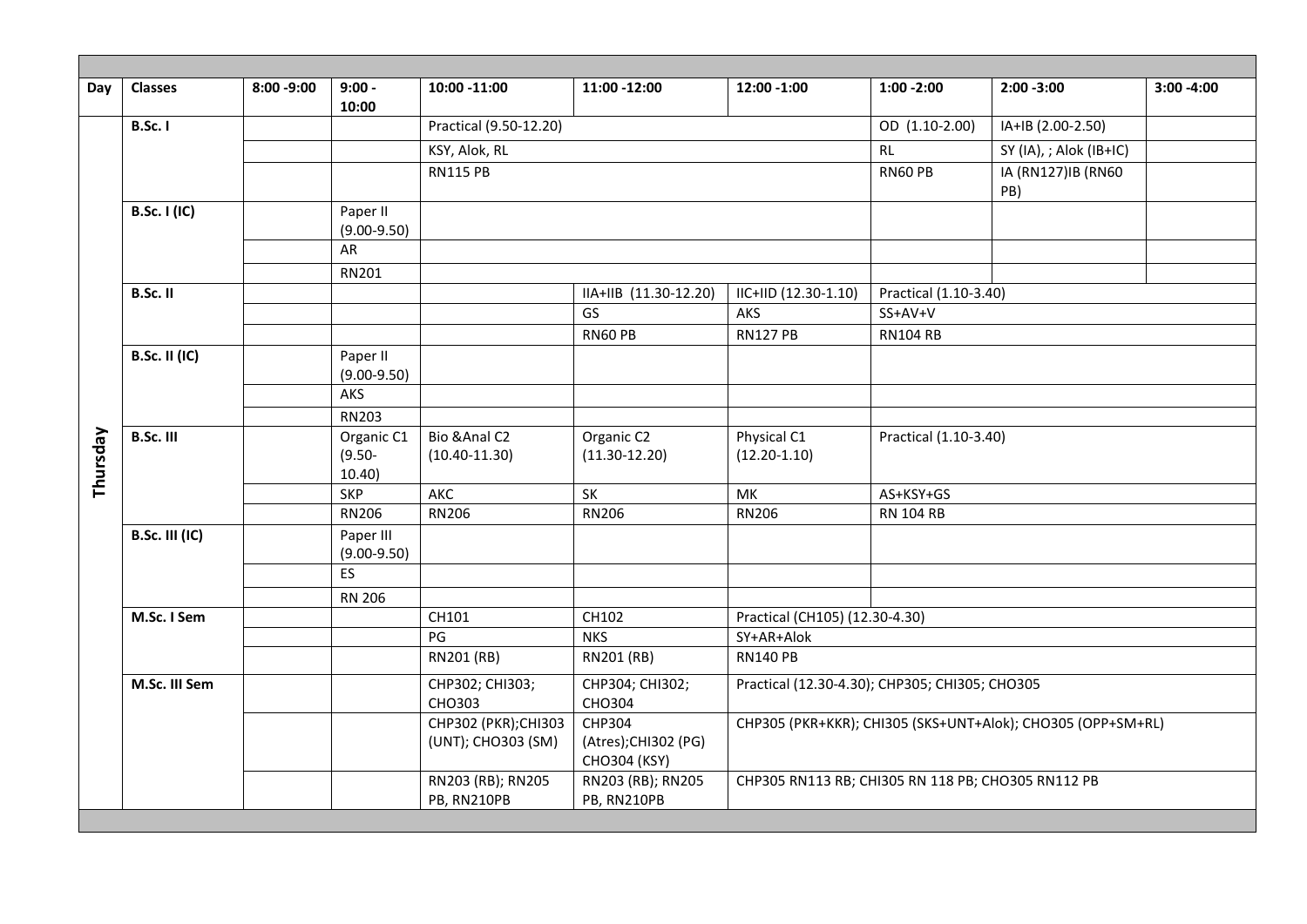| Day      | <b>Classes</b>        | $8:00 - 9:00$ | $9:00 -$<br>10:00            | 10:00 -11:00           | 11:00 -12:00                         | 12:00 -1:00                                        | $1:00 - 2:00$                    | $2:00 - 3:00$                                               | $3:00 - 4:00$ |
|----------|-----------------------|---------------|------------------------------|------------------------|--------------------------------------|----------------------------------------------------|----------------------------------|-------------------------------------------------------------|---------------|
|          | <b>B.Sc. I</b>        |               |                              | Practical (9.50-12.20) |                                      |                                                    | OD (1.10-2.00)                   | IA+IB (2.00-2.50)                                           |               |
|          |                       |               |                              | KSY, Alok, RL          |                                      |                                                    | RL                               | SY (IA), ; Alok (IB+IC)                                     |               |
|          |                       |               |                              | <b>RN115 PB</b>        |                                      |                                                    | <b>RN60 PB</b>                   | IA (RN127)IB (RN60                                          |               |
|          |                       |               |                              |                        |                                      |                                                    |                                  | PB)                                                         |               |
|          | <b>B.Sc. I (IC)</b>   |               | Paper II                     |                        |                                      |                                                    |                                  |                                                             |               |
|          |                       |               | $(9.00 - 9.50)$              |                        |                                      |                                                    |                                  |                                                             |               |
|          |                       |               | AR                           |                        |                                      |                                                    |                                  |                                                             |               |
|          |                       |               | RN201                        |                        |                                      |                                                    |                                  |                                                             |               |
|          | B.Sc. II              |               |                              |                        | IIA+IIB (11.30-12.20)<br>GS          | IIC+IID (12.30-1.10)<br>AKS                        | Practical (1.10-3.40)<br>SS+AV+V |                                                             |               |
|          |                       |               |                              |                        | RN60 PB                              | <b>RN127 PB</b>                                    | <b>RN104 RB</b>                  |                                                             |               |
|          | <b>B.Sc. II (IC)</b>  |               | Paper II                     |                        |                                      |                                                    |                                  |                                                             |               |
|          |                       |               | $(9.00 - 9.50)$              |                        |                                      |                                                    |                                  |                                                             |               |
|          |                       |               | <b>AKS</b>                   |                        |                                      |                                                    |                                  |                                                             |               |
|          |                       |               | RN203                        |                        |                                      |                                                    |                                  |                                                             |               |
|          | <b>B.Sc. III</b>      |               | Organic C1                   | Bio & Anal C2          | Organic C2                           | Physical C1                                        | Practical (1.10-3.40)            |                                                             |               |
|          |                       |               | $(9.50 -$                    | $(10.40 - 11.30)$      | $(11.30 - 12.20)$                    | $(12.20 - 1.10)$                                   |                                  |                                                             |               |
| Thursday |                       |               | 10.40                        |                        |                                      |                                                    |                                  |                                                             |               |
|          |                       |               | <b>SKP</b><br><b>RN206</b>   | AKC<br><b>RN206</b>    | SK                                   | MK                                                 | AS+KSY+GS                        |                                                             |               |
|          |                       |               |                              |                        | <b>RN206</b>                         | <b>RN206</b>                                       | <b>RN 104 RB</b>                 |                                                             |               |
|          | <b>B.Sc. III (IC)</b> |               | Paper III<br>$(9.00 - 9.50)$ |                        |                                      |                                                    |                                  |                                                             |               |
|          |                       |               | <b>ES</b>                    |                        |                                      |                                                    |                                  |                                                             |               |
|          |                       |               | <b>RN 206</b>                |                        |                                      |                                                    |                                  |                                                             |               |
|          | M.Sc. I Sem           |               |                              | CH101                  | CH102                                | Practical (CH105) (12.30-4.30)                     |                                  |                                                             |               |
|          |                       |               |                              | PG                     | <b>NKS</b>                           | SY+AR+Alok                                         |                                  |                                                             |               |
|          |                       |               |                              | RN201 (RB)             | RN201 (RB)                           | <b>RN140 PB</b>                                    |                                  |                                                             |               |
|          | M.Sc. III Sem         |               |                              | CHP302; CHI303;        | CHP304; CHI302;                      | Practical (12.30-4.30); CHP305; CHI305; CHO305     |                                  |                                                             |               |
|          |                       |               |                              | CHO303                 | CHO304                               |                                                    |                                  |                                                             |               |
|          |                       |               |                              | CHP302 (PKR); CHI303   | CHP304                               |                                                    |                                  | CHP305 (PKR+KKR); CHI305 (SKS+UNT+Alok); CHO305 (OPP+SM+RL) |               |
|          |                       |               |                              | (UNT); CHO303 (SM)     | (Atres); CHI302 (PG)<br>CHO304 (KSY) |                                                    |                                  |                                                             |               |
|          |                       |               |                              | RN203 (RB); RN205      | RN203 (RB); RN205                    | CHP305 RN113 RB; CHI305 RN 118 PB; CHO305 RN112 PB |                                  |                                                             |               |
|          |                       |               |                              | PB, RN210PB            | PB, RN210PB                          |                                                    |                                  |                                                             |               |
|          |                       |               |                              |                        |                                      |                                                    |                                  |                                                             |               |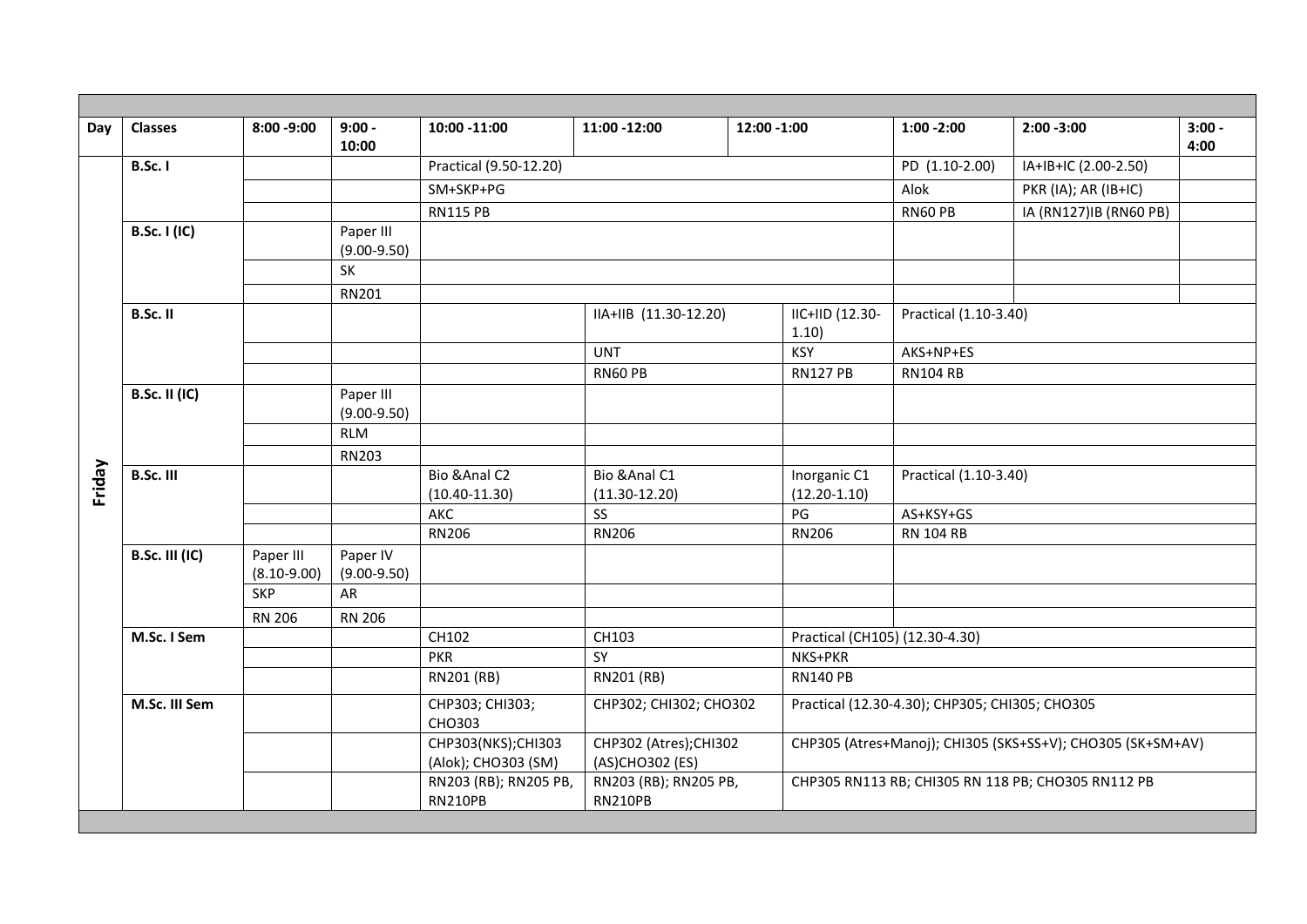| Day    | <b>Classes</b>        | $8:00 - 9:00$                | $9:00 -$<br>10:00            | 10:00 -11:00                               | 11:00 -12:00                              | 12:00 -1:00                                       | $1:00 - 2:00$                                      | $2:00 - 3:00$                                              | $3:00 -$<br>4:00 |  |
|--------|-----------------------|------------------------------|------------------------------|--------------------------------------------|-------------------------------------------|---------------------------------------------------|----------------------------------------------------|------------------------------------------------------------|------------------|--|
|        | <b>B.Sc. I</b>        |                              |                              | Practical (9.50-12.20)                     |                                           |                                                   | PD (1.10-2.00)                                     | IA+IB+IC (2.00-2.50)                                       |                  |  |
|        |                       |                              |                              | SM+SKP+PG                                  |                                           | Alok                                              | PKR (IA); AR (IB+IC)                               |                                                            |                  |  |
|        |                       |                              |                              | <b>RN115 PB</b>                            |                                           | RN60 PB                                           | IA (RN127)IB (RN60 PB)                             |                                                            |                  |  |
|        | <b>B.Sc. I (IC)</b>   |                              | Paper III<br>$(9.00 - 9.50)$ |                                            |                                           |                                                   |                                                    |                                                            |                  |  |
|        |                       |                              | SK                           |                                            |                                           |                                                   |                                                    |                                                            |                  |  |
|        |                       |                              | RN201                        |                                            |                                           |                                                   |                                                    |                                                            |                  |  |
|        | B.Sc. II              |                              |                              |                                            |                                           | IIC+IID (12.30-<br>IIA+IIB (11.30-12.20)<br>1.10) |                                                    | Practical (1.10-3.40)                                      |                  |  |
|        |                       |                              |                              |                                            | <b>UNT</b>                                | <b>KSY</b>                                        | AKS+NP+ES                                          |                                                            |                  |  |
|        |                       |                              |                              |                                            | RN60 PB                                   | <b>RN127 PB</b>                                   | <b>RN104 RB</b>                                    |                                                            |                  |  |
|        | <b>B.Sc. II (IC)</b>  |                              | Paper III<br>$(9.00 - 9.50)$ |                                            |                                           |                                                   |                                                    |                                                            |                  |  |
|        |                       |                              | <b>RLM</b>                   |                                            |                                           |                                                   |                                                    |                                                            |                  |  |
|        |                       |                              | RN203                        |                                            |                                           |                                                   |                                                    |                                                            |                  |  |
| Friday | B.Sc. III             |                              |                              | Bio & Anal C2<br>$(10.40 - 11.30)$         | Bio & Anal C1<br>$(11.30 - 12.20)$        | Inorganic C1<br>$(12.20-1.10)$                    | Practical (1.10-3.40)                              |                                                            |                  |  |
|        |                       |                              |                              | AKC                                        | <b>SS</b>                                 | PG                                                | AS+KSY+GS                                          |                                                            |                  |  |
|        |                       |                              |                              | <b>RN206</b>                               | <b>RN206</b>                              | <b>RN206</b>                                      | <b>RN 104 RB</b>                                   |                                                            |                  |  |
|        | <b>B.Sc. III (IC)</b> | Paper III<br>$(8.10 - 9.00)$ | Paper IV<br>$(9.00 - 9.50)$  |                                            |                                           |                                                   |                                                    |                                                            |                  |  |
|        |                       | <b>SKP</b>                   | AR                           |                                            |                                           |                                                   |                                                    |                                                            |                  |  |
|        |                       | <b>RN 206</b>                | <b>RN 206</b>                |                                            |                                           |                                                   |                                                    |                                                            |                  |  |
|        | M.Sc. I Sem           |                              |                              | CH102                                      | CH103                                     |                                                   | Practical (CH105) (12.30-4.30)                     |                                                            |                  |  |
|        |                       |                              |                              | <b>PKR</b>                                 | SY                                        | NKS+PKR                                           |                                                    |                                                            |                  |  |
|        |                       |                              |                              | RN201 (RB)                                 | RN201 (RB)                                |                                                   | <b>RN140 PB</b>                                    |                                                            |                  |  |
|        | M.Sc. III Sem         |                              |                              | CHP303; CHI303;<br>CHO303                  | CHP302; CHI302; CHO302                    |                                                   | Practical (12.30-4.30); CHP305; CHI305; CHO305     |                                                            |                  |  |
|        |                       |                              |                              | CHP303(NKS); CHI303<br>(Alok); CHO303 (SM) | CHP302 (Atres); CHI302<br>(AS)CHO302 (ES) |                                                   |                                                    | CHP305 (Atres+Manoj); CHI305 (SKS+SS+V); CHO305 (SK+SM+AV) |                  |  |
|        |                       |                              |                              | RN203 (RB); RN205 PB,<br><b>RN210PB</b>    | RN203 (RB); RN205 PB,<br><b>RN210PB</b>   |                                                   | CHP305 RN113 RB; CHI305 RN 118 PB; CHO305 RN112 PB |                                                            |                  |  |
|        |                       |                              |                              |                                            |                                           |                                                   |                                                    |                                                            |                  |  |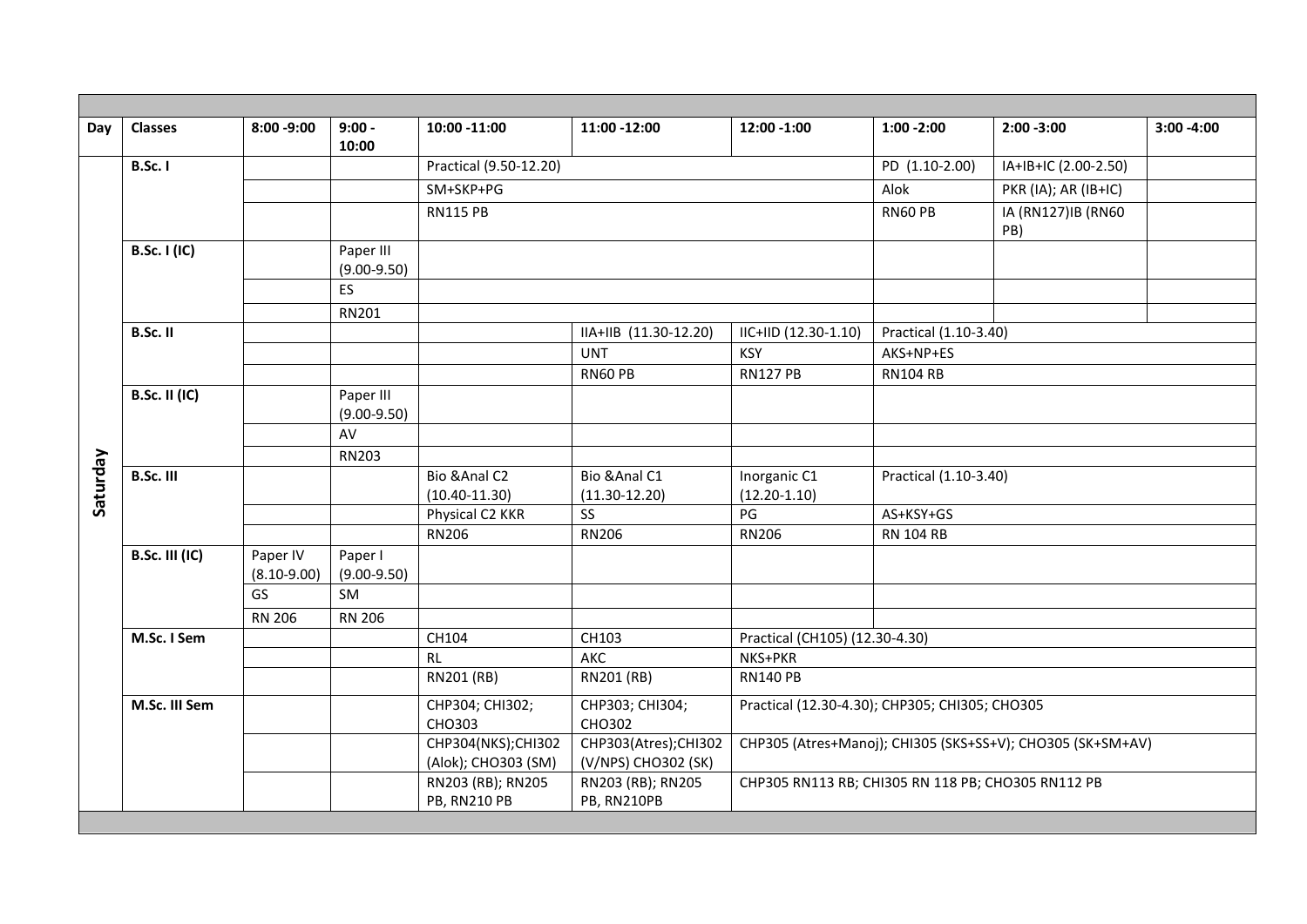| Day      | <b>Classes</b>        | $8:00 - 9:00$               | $9:00 -$<br>10:00            | 10:00 -11:00                              | 11:00 -12:00                                | 12:00 -1:00                                        | $1:00 - 2:00$                                              | $2:00 - 3:00$             | $3:00 - 4:00$ |  |  |
|----------|-----------------------|-----------------------------|------------------------------|-------------------------------------------|---------------------------------------------|----------------------------------------------------|------------------------------------------------------------|---------------------------|---------------|--|--|
|          | <b>B.Sc. I</b>        |                             |                              | Practical (9.50-12.20)                    |                                             |                                                    | PD (1.10-2.00)                                             | IA+IB+IC (2.00-2.50)      |               |  |  |
|          |                       |                             |                              | SM+SKP+PG                                 |                                             |                                                    | Alok                                                       | PKR (IA); AR (IB+IC)      |               |  |  |
|          |                       |                             |                              | <b>RN115 PB</b>                           |                                             |                                                    | RN60 PB                                                    | IA (RN127)IB (RN60<br>PB) |               |  |  |
|          | <b>B.Sc. I (IC)</b>   |                             | Paper III<br>$(9.00 - 9.50)$ |                                           |                                             |                                                    |                                                            |                           |               |  |  |
|          |                       |                             | ES                           |                                           |                                             |                                                    |                                                            |                           |               |  |  |
|          |                       |                             | RN201                        |                                           |                                             |                                                    |                                                            |                           |               |  |  |
|          | B.Sc. II              |                             |                              |                                           | IIA+IIB (11.30-12.20)                       | IIC+IID (12.30-1.10)                               | Practical (1.10-3.40)                                      |                           |               |  |  |
|          |                       |                             |                              |                                           | <b>UNT</b>                                  | <b>KSY</b>                                         | AKS+NP+ES                                                  |                           |               |  |  |
|          |                       |                             |                              |                                           | RN60 PB                                     | <b>RN127 PB</b>                                    | <b>RN104 RB</b>                                            |                           |               |  |  |
|          | <b>B.Sc. II (IC)</b>  |                             | Paper III<br>$(9.00 - 9.50)$ |                                           |                                             |                                                    |                                                            |                           |               |  |  |
|          |                       |                             | AV                           |                                           |                                             |                                                    |                                                            |                           |               |  |  |
|          |                       |                             | <b>RN203</b>                 |                                           |                                             |                                                    |                                                            |                           |               |  |  |
| Saturday | <b>B.Sc. III</b>      |                             |                              | Bio & Anal C2<br>$(10.40 - 11.30)$        | Bio & Anal C1<br>$(11.30 - 12.20)$          | Inorganic C1<br>$(12.20-1.10)$                     | Practical (1.10-3.40)                                      |                           |               |  |  |
|          |                       |                             |                              | Physical C2 KKR                           | SS                                          | PG                                                 | AS+KSY+GS                                                  |                           |               |  |  |
|          |                       |                             |                              | <b>RN206</b>                              | RN206                                       | <b>RN206</b>                                       | <b>RN 104 RB</b>                                           |                           |               |  |  |
|          | <b>B.Sc. III (IC)</b> | Paper IV<br>$(8.10 - 9.00)$ | Paper I<br>$(9.00 - 9.50)$   |                                           |                                             |                                                    |                                                            |                           |               |  |  |
|          |                       | <b>GS</b>                   | SM                           |                                           |                                             |                                                    |                                                            |                           |               |  |  |
|          |                       | <b>RN 206</b>               | <b>RN 206</b>                |                                           |                                             |                                                    |                                                            |                           |               |  |  |
|          | M.Sc. I Sem           |                             |                              | CH104                                     | CH103                                       | Practical (CH105) (12.30-4.30)                     |                                                            |                           |               |  |  |
|          |                       |                             |                              | RL                                        | AKC                                         | NKS+PKR                                            |                                                            |                           |               |  |  |
|          |                       |                             |                              | RN201 (RB)                                | RN201 (RB)                                  | <b>RN140 PB</b>                                    |                                                            |                           |               |  |  |
|          | M.Sc. III Sem         |                             |                              | CHP304; CHI302;<br><b>CHO303</b>          | CHP303; CHI304;<br>CHO302                   | Practical (12.30-4.30); CHP305; CHI305; CHO305     |                                                            |                           |               |  |  |
|          |                       |                             |                              | CHP304(NKS);CHI302<br>(Alok); CHO303 (SM) | CHP303(Atres);CHI302<br>(V/NPS) CHO302 (SK) |                                                    | CHP305 (Atres+Manoj); CHI305 (SKS+SS+V); CHO305 (SK+SM+AV) |                           |               |  |  |
|          |                       |                             |                              | RN203 (RB); RN205<br><b>PB, RN210 PB</b>  | RN203 (RB); RN205<br>PB, RN210PB            | CHP305 RN113 RB; CHI305 RN 118 PB; CHO305 RN112 PB |                                                            |                           |               |  |  |
|          |                       |                             |                              |                                           |                                             |                                                    |                                                            |                           |               |  |  |